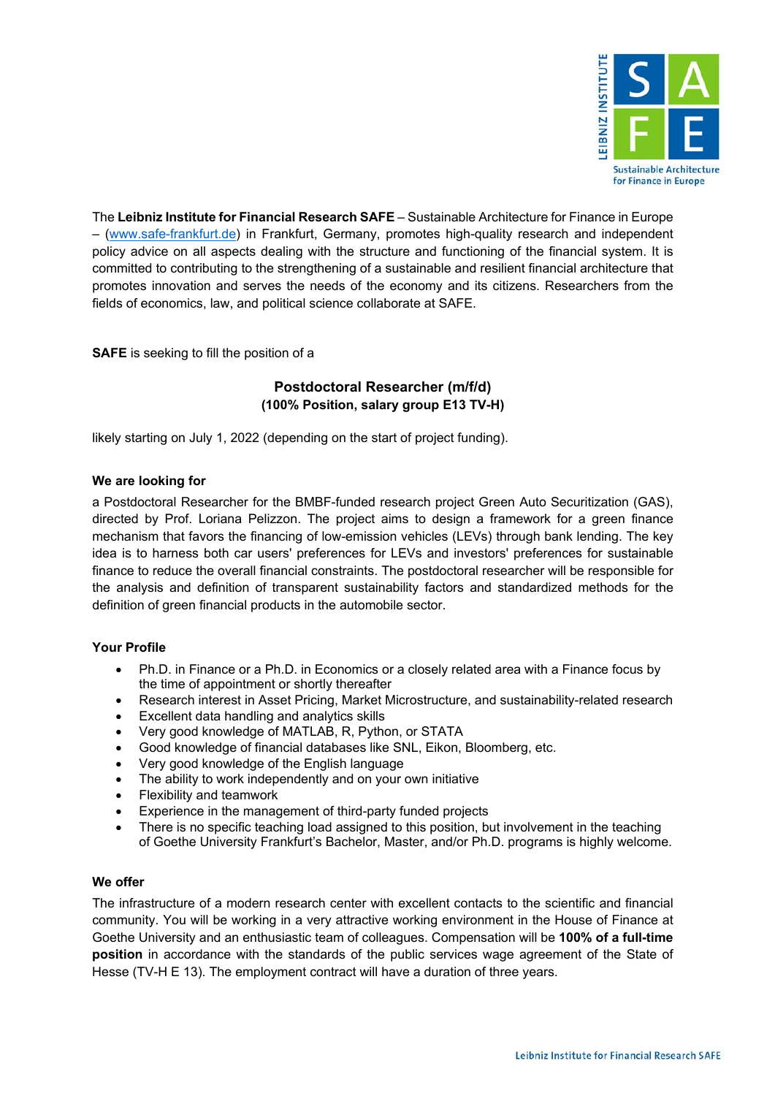

The **Leibniz Institute for Financial Research SAFE** – Sustainable Architecture for Finance in Europe – [\(www.safe-frankfurt.de\)](http://www.safe-frankfurt.de/) in Frankfurt, Germany, promotes high-quality research and independent policy advice on all aspects dealing with the structure and functioning of the financial system. It is committed to contributing to the strengthening of a sustainable and resilient financial architecture that promotes innovation and serves the needs of the economy and its citizens. Researchers from the fields of economics, law, and political science collaborate at SAFE.

**SAFE** is seeking to fill the position of a

## **Postdoctoral Researcher (m/f/d) (100% Position, salary group E13 TV-H)**

likely starting on July 1, 2022 (depending on the start of project funding).

## **We are looking for**

a Postdoctoral Researcher for the BMBF-funded research project Green Auto Securitization (GAS), directed by Prof. Loriana Pelizzon. The project aims to design a framework for a green finance mechanism that favors the financing of low-emission vehicles (LEVs) through bank lending. The key idea is to harness both car users' preferences for LEVs and investors' preferences for sustainable finance to reduce the overall financial constraints. The postdoctoral researcher will be responsible for the analysis and definition of transparent sustainability factors and standardized methods for the definition of green financial products in the automobile sector.

## **Your Profile**

- Ph.D. in Finance or a Ph.D. in Economics or a closely related area with a Finance focus by the time of appointment or shortly thereafter
- Research interest in Asset Pricing, Market Microstructure, and sustainability-related research
- Excellent data handling and analytics skills
- Very good knowledge of MATLAB, R, Python, or STATA
- Good knowledge of financial databases like SNL, Eikon, Bloomberg, etc.
- Very good knowledge of the English language
- The ability to work independently and on your own initiative
- Flexibility and teamwork
- Experience in the management of third-party funded projects
- There is no specific teaching load assigned to this position, but involvement in the teaching of Goethe University Frankfurt's Bachelor, Master, and/or Ph.D. programs is highly welcome.

## **We offer**

The infrastructure of a modern research center with excellent contacts to the scientific and financial community. You will be working in a very attractive working environment in the House of Finance at Goethe University and an enthusiastic team of colleagues. Compensation will be **100% of a full-time position** in accordance with the standards of the public services wage agreement of the State of Hesse (TV-H E 13). The employment contract will have a duration of three years.